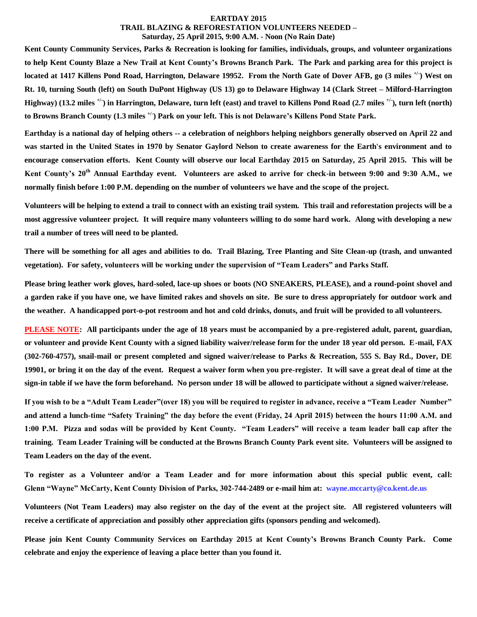#### **EARTDAY 2015**

#### **TRAIL BLAZING & REFORESTATION VOLUNTEERS NEEDED – Saturday, 25 April 2015, 9:00 A.M. - Noon (No Rain Date)**

**Kent County Community Services, Parks & Recreation is looking for families, individuals, groups, and volunteer organizations to help Kent County Blaze a New Trail at Kent County's Browns Branch Park. The Park and parking area for this project is located at 1417 Killens Pond Road, Harrington, Delaware 19952. From the North Gate of Dover AFB, go (3 miles +/- ) West on Rt. 10, turning South (left) on South DuPont Highway (US 13) go to Delaware Highway 14 (Clark Street – Milford-Harrington Highway) (13.2 miles +/- ) in Harrington, Delaware, turn left (east) and travel to Killens Pond Road (2.7 miles +/- ), turn left (north) to Browns Branch County (1.3 miles +/- ) Park on your left. This is not Delaware's Killens Pond State Park.**

**Earthday is a national day of helping others -- a celebration of neighbors helping neighbors generally observed on April 22 and was started in the United States in 1970 by Senator Gaylord Nelson to create awareness for the Earth's environment and to encourage conservation efforts. Kent County will observe our local Earthday 2015 on Saturday, 25 April 2015. This will be Kent County's 20th Annual Earthday event. Volunteers are asked to arrive for check-in between 9:00 and 9:30 A.M., we normally finish before 1:00 P.M. depending on the number of volunteers we have and the scope of the project.** 

**Volunteers will be helping to extend a trail to connect with an existing trail system. This trail and reforestation projects will be a most aggressive volunteer project. It will require many volunteers willing to do some hard work. Along with developing a new trail a number of trees will need to be planted.** 

**There will be something for all ages and abilities to do. Trail Blazing, Tree Planting and Site Clean-up (trash, and unwanted vegetation). For safety, volunteers will be working under the supervision of "Team Leaders" and Parks Staff.** 

**Please bring leather work gloves, hard-soled, lace-up shoes or boots (NO SNEAKERS, PLEASE), and a round-point shovel and a garden rake if you have one, we have limited rakes and shovels on site. Be sure to dress appropriately for outdoor work and the weather. A handicapped port-o-pot restroom and hot and cold drinks, donuts, and fruit will be provided to all volunteers.**

**PLEASE NOTE: All participants under the age of 18 years must be accompanied by a pre-registered adult, parent, guardian, or volunteer and provide Kent County with a signed liability waiver/release form for the under 18 year old person. E-mail, FAX (302-760-4757), snail-mail or present completed and signed waiver/release to Parks & Recreation, 555 S. Bay Rd., Dover, DE 19901, or bring it on the day of the event. Request a waiver form when you pre-register. It will save a great deal of time at the sign-in table if we have the form beforehand. No person under 18 will be allowed to participate without a signed waiver/release.** 

**If you wish to be a "Adult Team Leader"(over 18) you will be required to register in advance, receive a "Team Leader Number" and attend a lunch-time "Safety Training" the day before the event (Friday, 24 April 2015) between the hours 11:00 A.M. and 1:00 P.M. Pizza and sodas will be provided by Kent County. "Team Leaders" will receive a team leader ball cap after the training. Team Leader Training will be conducted at the Browns Branch County Park event site. Volunteers will be assigned to Team Leaders on the day of the event.**

**To register as a Volunteer and/or a Team Leader and for more information about this special public event, call: Glenn "Wayne" McCarty, Kent County Division of Parks, 302-744-2489 or e-mail him at: [wayne.mccarty@co.kent.de.us](mailto:wayne.mccarty@co.kent)**

**Volunteers (Not Team Leaders) may also register on the day of the event at the project site. All registered volunteers will receive a certificate of appreciation and possibly other appreciation gifts (sponsors pending and welcomed).** 

**Please join Kent County Community Services on Earthday 2015 at Kent County's Browns Branch County Park. Come celebrate and enjoy the experience of leaving a place better than you found it.**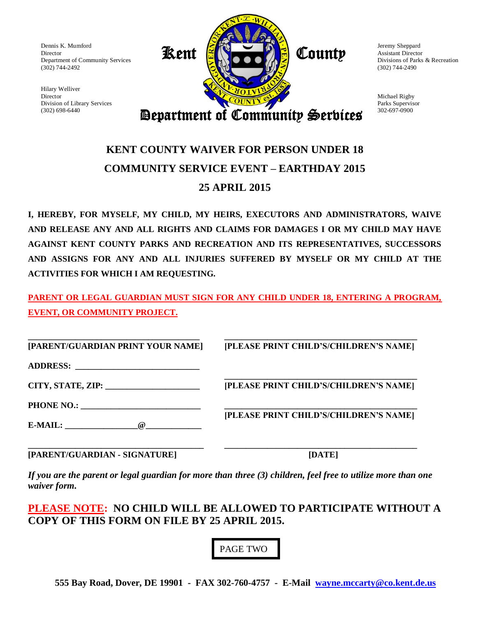Dennis K. Mumford Director Department of Community Services (302) 744-2492

Hilary Welliver Director Division of Library Services (302) 698-6440



Jeremy Sheppard Assistant Director Divisions of Parks & Recreation (302) 744-2490

Michael Rigby Parks Supervisor 302-697-0900

Department of Community Services

### **KENT COUNTY WAIVER FOR PERSON UNDER 18 COMMUNITY SERVICE EVENT – EARTHDAY 2015 25 APRIL 2015**

**I, HEREBY, FOR MYSELF, MY CHILD, MY HEIRS, EXECUTORS AND ADMINISTRATORS, WAIVE AND RELEASE ANY AND ALL RIGHTS AND CLAIMS FOR DAMAGES I OR MY CHILD MAY HAVE AGAINST KENT COUNTY PARKS AND RECREATION AND ITS REPRESENTATIVES, SUCCESSORS AND ASSIGNS FOR ANY AND ALL INJURIES SUFFERED BY MYSELF OR MY CHILD AT THE ACTIVITIES FOR WHICH I AM REQUESTING.**

**PARENT OR LEGAL GUARDIAN MUST SIGN FOR ANY CHILD UNDER 18, ENTERING A PROGRAM, EVENT, OR COMMUNITY PROJECT.**

**\_\_\_\_\_\_\_\_\_\_\_\_\_\_\_\_\_\_\_\_\_\_\_\_\_\_\_\_\_\_\_\_\_\_\_\_\_\_\_\_ \_\_\_\_\_\_\_\_\_\_\_\_\_\_\_\_\_\_\_\_\_\_\_\_\_\_\_\_\_\_\_\_\_\_\_\_\_\_\_\_\_\_\_\_\_ [PARENT/GUARDIAN PRINT YOUR NAME] [PLEASE PRINT CHILD'S/CHILDREN'S NAME] ADDRESS: \_\_\_\_\_\_\_\_\_\_\_\_\_\_\_\_\_\_\_\_\_\_\_\_\_\_\_\_\_ \_\_\_\_\_\_\_\_\_\_\_\_\_\_\_\_\_\_\_\_\_\_\_\_\_\_\_\_\_\_\_\_\_\_\_\_\_\_\_\_\_\_\_\_\_ CITY, STATE, ZIP: \_\_\_\_\_\_\_\_\_\_\_\_\_\_\_\_\_\_\_\_\_\_ [PLEASE PRINT CHILD'S/CHILDREN'S NAME] PHONE NO.: \_\_\_\_\_\_\_\_\_\_\_\_\_\_\_\_\_\_\_\_\_\_\_\_\_\_\_\_ \_\_\_\_\_\_\_\_\_\_\_\_\_\_\_\_\_\_\_\_\_\_\_\_\_\_\_\_\_\_\_\_\_\_\_\_\_\_\_\_\_\_\_\_\_ [PLEASE PRINT CHILD'S/CHILDREN'S NAME] E-MAIL:**  $@$ 

**\_\_\_\_\_\_\_\_\_\_\_\_\_\_\_\_\_\_\_\_\_\_\_\_\_\_\_\_\_\_\_\_\_\_\_\_\_\_\_\_\_ \_\_\_\_\_\_\_\_\_\_\_\_\_\_\_\_\_\_\_\_\_\_\_\_\_\_\_\_\_\_\_\_\_\_\_\_\_\_\_\_\_\_\_\_\_ [PARENT/GUARDIAN - SIGNATURE] [DATE]**

*If you are the parent or legal guardian for more than three (3) children, feel free to utilize more than one waiver form.*

**PLEASE NOTE: NO CHILD WILL BE ALLOWED TO PARTICIPATE WITHOUT A COPY OF THIS FORM ON FILE BY 25 APRIL 2015.**

PAGE TWO